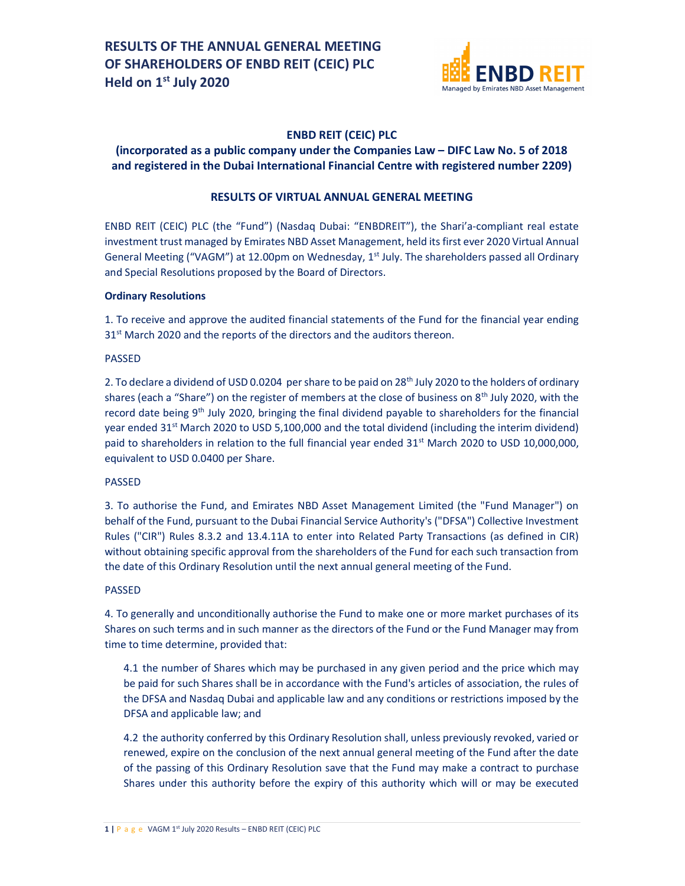

## ENBD REIT (CEIC) PLC

## (incorporated as a public company under the Companies Law – DIFC Law No. 5 of 2018 and registered in the Dubai International Financial Centre with registered number 2209)

## RESULTS OF VIRTUAL ANNUAL GENERAL MEETING

ENBD REIT (CEIC) PLC (the "Fund") (Nasdaq Dubai: "ENBDREIT"), the Shari'a-compliant real estate investment trust managed by Emirates NBD Asset Management, held its first ever 2020 Virtual Annual General Meeting ("VAGM") at 12.00pm on Wednesday, 1<sup>st</sup> July. The shareholders passed all Ordinary and Special Resolutions proposed by the Board of Directors.

## Ordinary Resolutions

1. To receive and approve the audited financial statements of the Fund for the financial year ending 31<sup>st</sup> March 2020 and the reports of the directors and the auditors thereon.

#### PASSED

2. To declare a dividend of USD 0.0204 per share to be paid on 28<sup>th</sup> July 2020 to the holders of ordinary shares (each a "Share") on the register of members at the close of business on 8<sup>th</sup> July 2020, with the record date being 9<sup>th</sup> July 2020, bringing the final dividend payable to shareholders for the financial year ended 31<sup>st</sup> March 2020 to USD 5,100,000 and the total dividend (including the interim dividend) paid to shareholders in relation to the full financial year ended 31<sup>st</sup> March 2020 to USD 10,000,000, equivalent to USD 0.0400 per Share.

#### PASSED

3. To authorise the Fund, and Emirates NBD Asset Management Limited (the "Fund Manager") on behalf of the Fund, pursuant to the Dubai Financial Service Authority's ("DFSA") Collective Investment Rules ("CIR") Rules 8.3.2 and 13.4.11A to enter into Related Party Transactions (as defined in CIR) without obtaining specific approval from the shareholders of the Fund for each such transaction from the date of this Ordinary Resolution until the next annual general meeting of the Fund.

#### PASSED

4. To generally and unconditionally authorise the Fund to make one or more market purchases of its Shares on such terms and in such manner as the directors of the Fund or the Fund Manager may from time to time determine, provided that:

4.1 the number of Shares which may be purchased in any given period and the price which may be paid for such Shares shall be in accordance with the Fund's articles of association, the rules of the DFSA and Nasdaq Dubai and applicable law and any conditions or restrictions imposed by the DFSA and applicable law; and

4.2 the authority conferred by this Ordinary Resolution shall, unless previously revoked, varied or renewed, expire on the conclusion of the next annual general meeting of the Fund after the date of the passing of this Ordinary Resolution save that the Fund may make a contract to purchase Shares under this authority before the expiry of this authority which will or may be executed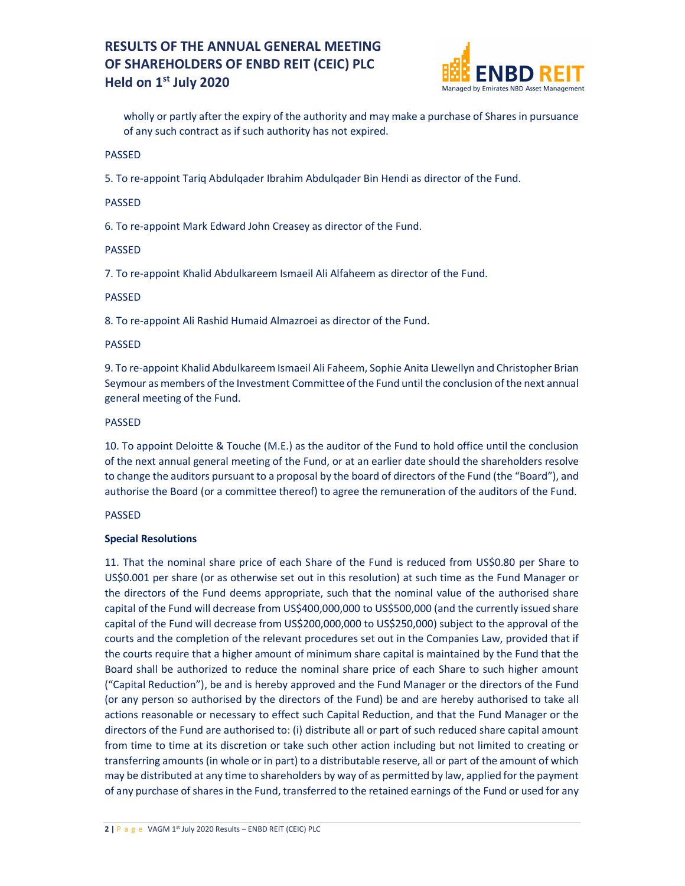## RESULTS OF THE ANNUAL GENERAL MEETING OF SHAREHOLDERS OF ENBD REIT (CEIC) PLC Held on 1<sup>st</sup> July 2020



wholly or partly after the expiry of the authority and may make a purchase of Shares in pursuance of any such contract as if such authority has not expired.

PASSED

5. To re-appoint Tariq Abdulqader Ibrahim Abdulqader Bin Hendi as director of the Fund.

#### PASSED

6. To re-appoint Mark Edward John Creasey as director of the Fund.

## PASSED

7. To re-appoint Khalid Abdulkareem Ismaeil Ali Alfaheem as director of the Fund.

## PASSED

8. To re-appoint Ali Rashid Humaid Almazroei as director of the Fund.

## PASSED

9. To re-appoint Khalid Abdulkareem Ismaeil Ali Faheem, Sophie Anita Llewellyn and Christopher Brian Seymour as members of the Investment Committee of the Fund until the conclusion of the next annual general meeting of the Fund.

#### PASSED

10. To appoint Deloitte & Touche (M.E.) as the auditor of the Fund to hold office until the conclusion of the next annual general meeting of the Fund, or at an earlier date should the shareholders resolve to change the auditors pursuant to a proposal by the board of directors of the Fund (the "Board"), and authorise the Board (or a committee thereof) to agree the remuneration of the auditors of the Fund.

## PASSED

## Special Resolutions

11. That the nominal share price of each Share of the Fund is reduced from US\$0.80 per Share to US\$0.001 per share (or as otherwise set out in this resolution) at such time as the Fund Manager or the directors of the Fund deems appropriate, such that the nominal value of the authorised share capital of the Fund will decrease from US\$400,000,000 to US\$500,000 (and the currently issued share capital of the Fund will decrease from US\$200,000,000 to US\$250,000) subject to the approval of the courts and the completion of the relevant procedures set out in the Companies Law, provided that if the courts require that a higher amount of minimum share capital is maintained by the Fund that the Board shall be authorized to reduce the nominal share price of each Share to such higher amount ("Capital Reduction"), be and is hereby approved and the Fund Manager or the directors of the Fund (or any person so authorised by the directors of the Fund) be and are hereby authorised to take all actions reasonable or necessary to effect such Capital Reduction, and that the Fund Manager or the directors of the Fund are authorised to: (i) distribute all or part of such reduced share capital amount from time to time at its discretion or take such other action including but not limited to creating or transferring amounts (in whole or in part) to a distributable reserve, all or part of the amount of which may be distributed at any time to shareholders by way of as permitted by law, applied for the payment of any purchase of shares in the Fund, transferred to the retained earnings of the Fund or used for any